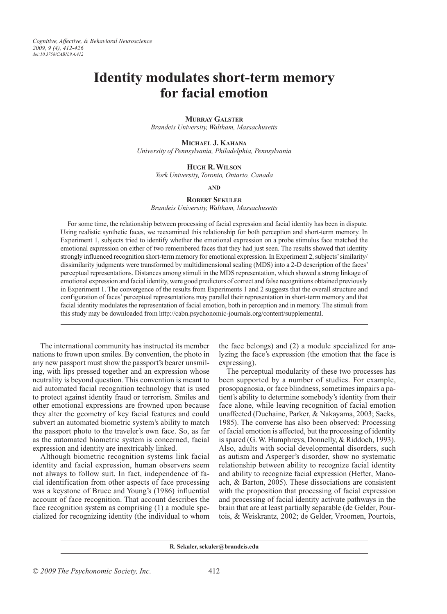*Cognitive, Affective, & Behavioral Neuroscience 2009, 9 (4), 412-426 doi:10.3758/CABN.9.4.412*

# **Identity modulates short-term memory for facial emotion**

**Murray Galster** *Brandeis University, Waltham, Massachusetts*

**Michael J. Kahana** *University of Pennsylvania, Philadelphia, Pennsylvania*

> **Hugh R. Wilson** *York University, Toronto, Ontario, Canada*

> > **and**

# **Robert Sekuler**

*Brandeis University, Waltham, Massachusetts*

For some time, the relationship between processing of facial expression and facial identity has been in dispute. Using realistic synthetic faces, we reexamined this relationship for both perception and short-term memory. In Experiment 1, subjects tried to identify whether the emotional expression on a probe stimulus face matched the emotional expression on either of two remembered faces that they had just seen. The results showed that identity strongly influenced recognition short-term memory for emotional expression. In Experiment 2, subjects' similarity/ dissimilarity judgments were transformed by multidimensional scaling (MDS) into a 2-D description of the faces' perceptual representations. Distances among stimuli in the MDS representation, which showed a strong linkage of emotional expression and facial identity, were good predictors of correct and false recognitions obtained previously in Experiment 1. The convergence of the results from Experiments 1 and 2 suggests that the overall structure and configuration of faces' perceptual representations may parallel their representation in short-term memory and that facial identity modulates the representation of facial emotion, both in perception and in memory. The stimuli from this study may be downloaded from http://cabn.psychonomic-journals.org/content/supplemental.

The international community has instructed its member nations to frown upon smiles. By convention, the photo in any new passport must show the passport's bearer unsmiling, with lips pressed together and an expression whose neutrality is beyond question. This convention is meant to aid automated facial recognition technology that is used to protect against identity fraud or terrorism. Smiles and other emotional expressions are frowned upon because they alter the geometry of key facial features and could subvert an automated biometric system's ability to match the passport photo to the traveler's own face. So, as far as the automated biometric system is concerned, facial expression and identity are inextricably linked.

Although biometric recognition systems link facial identity and facial expression, human observers seem not always to follow suit. In fact, independence of facial identification from other aspects of face processing was a keystone of Bruce and Young's (1986) influential account of face recognition. That account describes the face recognition system as comprising (1) a module specialized for recognizing identity (the individual to whom

the face belongs) and (2) a module specialized for analyzing the face's expression (the emotion that the face is expressing).

The perceptual modularity of these two processes has been supported by a number of studies. For example, prosopagnosia, or face blindness, sometimes impairs a patient's ability to determine somebody's identity from their face alone, while leaving recognition of facial emotion unaffected (Duchaine, Parker, & Nakayama, 2003; Sacks, 1985). The converse has also been observed: Processing of facial emotion is affected, but the processing of identity is spared (G.W. Humphreys, Donnelly, & Riddoch, 1993). Also, adults with social developmental disorders, such as autism and Asperger's disorder, show no systematic relationship between ability to recognize facial identity and ability to recognize facial expression (Hefter, Manoach, & Barton, 2005). These dissociations are consistent with the proposition that processing of facial expression and processing of facial identity activate pathways in the brain that are at least partially separable (de Gelder, Pourtois, & Weiskrantz, 2002; de Gelder, Vroomen, Pourtois,

**R. Sekuler, sekuler@brandeis.edu**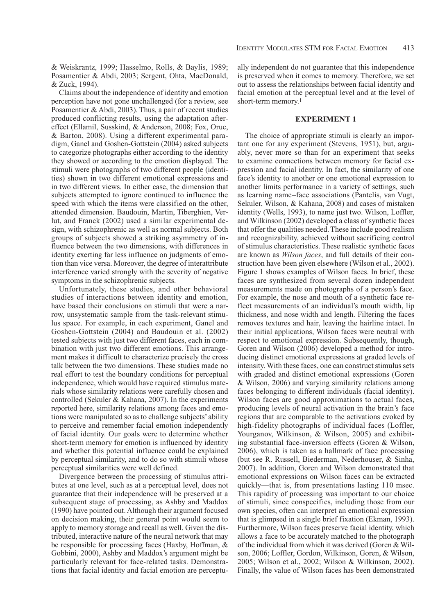& Zuck, 1994). Claims about the independence of identity and emotion perception have not gone unchallenged (for a review, see Posamentier & Abdi, 2003). Thus, a pair of recent studies produced conflicting results, using the adaptation aftereffect (Ellamil, Susskind, & Anderson, 2008; Fox, Oruc, & Barton, 2008). Using a different experimental paradigm, Ganel and Goshen-Gottstein (2004) asked subjects to categorize photographs either according to the identity they showed or according to the emotion displayed. The stimuli were photographs of two different people (identities) shown in two different emotional expressions and in two different views. In either case, the dimension that subjects attempted to ignore continued to influence the speed with which the items were classified on the other, attended dimension. Baudouin, Martin, Tiberghien, Verlut, and Franck (2002) used a similar experimental design, with schizophrenic as well as normal subjects. Both groups of subjects showed a striking asymmetry of influence between the two dimensions, with differences in identity exerting far less influence on judgments of emotion than vice versa. Moreover, the degree of interattribute interference varied strongly with the severity of negative symptoms in the schizophrenic subjects.

Unfortunately, these studies, and other behavioral studies of interactions between identity and emotion, have based their conclusions on stimuli that were a narrow, unsystematic sample from the task-relevant stimulus space. For example, in each experiment, Ganel and Goshen-Gottstein (2004) and Baudouin et al. (2002) tested subjects with just two different faces, each in combination with just two different emotions. This arrangement makes it difficult to characterize precisely the cross talk between the two dimensions. These studies made no real effort to test the boundary conditions for perceptual independence, which would have required stimulus materials whose similarity relations were carefully chosen and controlled (Sekuler & Kahana, 2007). In the experiments reported here, similarity relations among faces and emotions were manipulated so as to challenge subjects' ability to perceive and remember facial emotion independently of facial identity. Our goals were to determine whether short-term memory for emotion is influenced by identity and whether this potential influence could be explained by perceptual similarity, and to do so with stimuli whose perceptual similarities were well defined.

Divergence between the processing of stimulus attributes at one level, such as at a perceptual level, does not guarantee that their independence will be preserved at a subsequent stage of processing, as Ashby and Maddox (1990) have pointed out. Although their argument focused on decision making, their general point would seem to apply to memory storage and recall as well. Given the distributed, interactive nature of the neural network that may be responsible for processing faces (Haxby, Hoffman, & Gobbini, 2000), Ashby and Maddox's argument might be particularly relevant for face-related tasks. Demonstrations that facial identity and facial emotion are perceptu-

ally independent do not guarantee that this independence is preserved when it comes to memory. Therefore, we set out to assess the relationships between facial identity and facial emotion at the perceptual level and at the level of short-term memory.1

# **EXPERIMENT 1**

The choice of appropriate stimuli is clearly an important one for any experiment (Stevens, 1951), but, arguably, never more so than for an experiment that seeks to examine connections between memory for facial expression and facial identity. In fact, the similarity of one face's identity to another or one emotional expression to another limits performance in a variety of settings, such as learning name–face associations (Pantelis, van Vugt, Sekuler, Wilson, & Kahana, 2008) and cases of mistaken identity (Wells, 1993), to name just two. Wilson, Loffler, and Wilkinson (2002) developed a class of synthetic faces that offer the qualities needed. These include good realism and recognizability, achieved without sacrificing control of stimulus characteristics. These realistic synthetic faces are known as *Wilson faces*, and full details of their construction have been given elsewhere (Wilson et al., 2002). Figure 1 shows examples of Wilson faces. In brief, these faces are synthesized from several dozen independent measurements made on photographs of a person's face. For example, the nose and mouth of a synthetic face reflect measurements of an individual's mouth width, lip thickness, and nose width and length. Filtering the faces removes textures and hair, leaving the hairline intact. In their initial applications, Wilson faces were neutral with respect to emotional expression. Subsequently, though, Goren and Wilson (2006) developed a method for introducing distinct emotional expressions at graded levels of intensity. With these faces, one can construct stimulus sets with graded and distinct emotional expressions (Goren & Wilson, 2006) and varying similarity relations among faces belonging to different individuals (facial identity). Wilson faces are good approximations to actual faces, producing levels of neural activation in the brain's face regions that are comparable to the activations evoked by high-fidelity photographs of individual faces (Loffler, Yourganov, Wilkinson, & Wilson, 2005) and exhibiting substantial face-inversion effects (Goren & Wilson, 2006), which is taken as a hallmark of face processing (but see R. Russell, Biederman, Nederhouser, & Sinha, 2007). In addition, Goren and Wilson demonstrated that emotional expressions on Wilson faces can be extracted quickly—that is, from presentations lasting 110 msec. This rapidity of processing was important to our choice of stimuli, since conspecifics, including those from our own species, often can interpret an emotional expression that is glimpsed in a single brief fixation (Ekman, 1993). Furthermore, Wilson faces preserve facial identity, which allows a face to be accurately matched to the photograph of the individual from which it was derived (Goren & Wilson, 2006; Loffler, Gordon, Wilkinson, Goren, & Wilson, 2005; Wilson et al., 2002; Wilson & Wilkinson, 2002). Finally, the value of Wilson faces has been demonstrated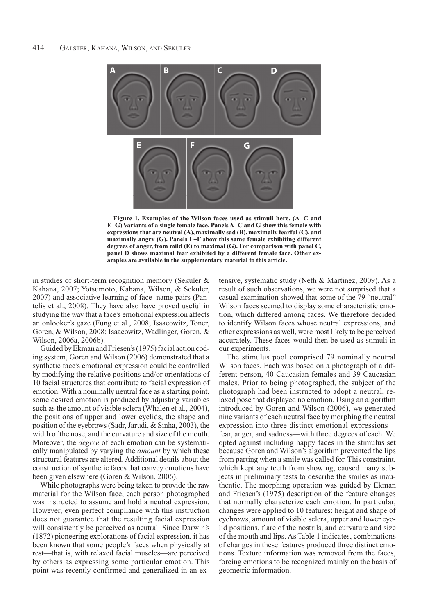

**Figure 1. Examples of the Wilson faces used as stimuli here. (A–C and E–G)Variants of a single female face. PanelsA–C and G show this female with expressions that are neutral (A), maximally sad (B), maximally fearful (C), and maximally angry (G). Panels E–F show this same female exhibiting different degrees of anger, from mild (E) to maximal (G). For comparison with panel C, panel D shows maximal fear exhibited by a different female face. Other examples are available in the supplementary material to this article.**

in studies of short-term recognition memory (Sekuler & Kahana, 2007; Yotsumoto, Kahana, Wilson, & Sekuler, 2007) and associative learning of face–name pairs (Pantelis et al., 2008). They have also have proved useful in studying the way that a face's emotional expression affects an onlooker's gaze (Fung et al., 2008; Isaacowitz, Toner, Goren, & Wilson, 2008; Isaacowitz, Wadlinger, Goren, & Wilson, 2006a, 2006b).

Guided by Ekman and Friesen's (1975) facial action coding system, Goren and Wilson (2006) demonstrated that a synthetic face's emotional expression could be controlled by modifying the relative positions and/or orientations of 10 facial structures that contribute to facial expression of emotion. With a nominally neutral face as a starting point, some desired emotion is produced by adjusting variables such as the amount of visible sclera (Whalen et al., 2004), the positions of upper and lower eyelids, the shape and position of the eyebrows (Sadr, Jarudi, & Sinha, 2003), the width of the nose, and the curvature and size of the mouth. Moreover, the *degree* of each emotion can be systematically manipulated by varying the *amount* by which these structural features are altered. Additional details about the construction of synthetic faces that convey emotions have been given elsewhere (Goren & Wilson, 2006).

While photographs were being taken to provide the raw material for the Wilson face, each person photographed was instructed to assume and hold a neutral expression. However, even perfect compliance with this instruction does not guarantee that the resulting facial expression will consistently be perceived as neutral. Since Darwin's (1872) pioneering explorations of facial expression, it has been known that some people's faces when physically at rest—that is, with relaxed facial muscles—are perceived by others as expressing some particular emotion. This point was recently confirmed and generalized in an extensive, systematic study (Neth & Martinez, 2009). As a result of such observations, we were not surprised that a casual examination showed that some of the 79 "neutral" Wilson faces seemed to display some characteristic emotion, which differed among faces. We therefore decided to identify Wilson faces whose neutral expressions, and other expressions as well, were most likely to be perceived accurately. These faces would then be used as stimuli in our experiments.

The stimulus pool comprised 79 nominally neutral Wilson faces. Each was based on a photograph of a different person, 40 Caucasian females and 39 Caucasian males. Prior to being photographed, the subject of the photograph had been instructed to adopt a neutral, relaxed pose that displayed no emotion. Using an algorithm introduced by Goren and Wilson (2006), we generated nine variants of each neutral face by morphing the neutral expression into three distinct emotional expressions fear, anger, and sadness—with three degrees of each. We opted against including happy faces in the stimulus set because Goren and Wilson's algorithm prevented the lips from parting when a smile was called for. This constraint, which kept any teeth from showing, caused many subjects in preliminary tests to describe the smiles as inauthentic. The morphing operation was guided by Ekman and Friesen's (1975) description of the feature changes that normally characterize each emotion. In particular, changes were applied to 10 features: height and shape of eyebrows, amount of visible sclera, upper and lower eyelid positions, flare of the nostrils, and curvature and size of the mouth and lips. As Table 1 indicates, combinations of changes in these features produced three distinct emotions. Texture information was removed from the faces, forcing emotions to be recognized mainly on the basis of geometric information.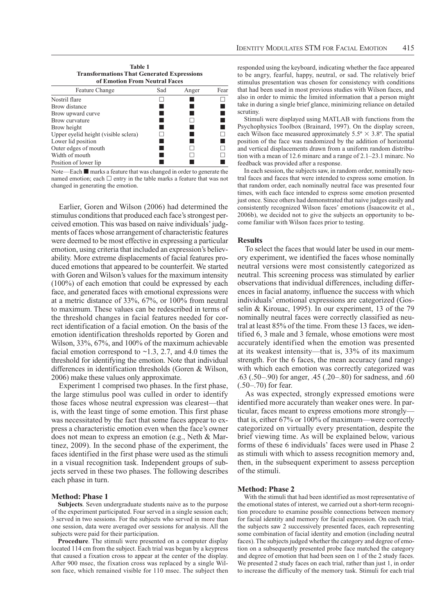| Feature Change                       | Sad | Anger | Fear |
|--------------------------------------|-----|-------|------|
| Nostril flare                        |     |       |      |
| Brow distance                        |     |       |      |
| Brow upward curve                    |     |       |      |
| Brow curvature                       |     |       |      |
| Brow height                          |     |       |      |
| Upper eyelid height (visible sclera) |     |       |      |
| Lower lid position                   |     |       |      |
| Outer edges of mouth                 |     |       |      |
| Width of mouth                       |     |       |      |
| Position of lower lip                |     |       |      |

Note—Each **II** marks a feature that was changed in order to generate the named emotion; each  $\Box$  entry in the table marks a feature that was not changed in generating the emotion.

Earlier, Goren and Wilson (2006) had determined the stimulus conditions that produced each face's strongest perceived emotion. This was based on naive individuals' judgments of faces whose arrangement of characteristic features were deemed to be most effective in expressing a particular emotion, using criteria that included an expression's believability. More extreme displacements of facial features produced emotions that appeared to be counterfeit. We started with Goren and Wilson's values for the maximum intensity (100%) of each emotion that could be expressed by each face, and generated faces with emotional expressions were at a metric distance of 33%, 67%, or 100% from neutral to maximum. These values can be redescribed in terms of the threshold changes in facial features needed for correct identification of a facial emotion. On the basis of the emotion identification thresholds reported by Goren and Wilson, 33%, 67%, and 100% of the maximum achievable facial emotion correspond to  $\sim$ 1.3, 2.7, and 4.0 times the threshold for identifying the emotion. Note that individual differences in identification thresholds (Goren & Wilson, 2006) make these values only approximate.

Experiment 1 comprised two phases. In the first phase, the large stimulus pool was culled in order to identify those faces whose neutral expression was clearest—that is, with the least tinge of some emotion. This first phase was necessitated by the fact that some faces appear to express a characteristic emotion even when the face's owner does not mean to express an emotion (e.g., Neth & Martinez, 2009). In the second phase of the experiment, the faces identified in the first phase were used as the stimuli in a visual recognition task. Independent groups of subjects served in these two phases. The following describes each phase in turn.

## **Method: Phase 1**

**Subjects**. Seven undergraduate students naive as to the purpose of the experiment participated. Four served in a single session each; 3 served in two sessions. For the subjects who served in more than one session, data were averaged over sessions for analysis. All the subjects were paid for their participation.

**Procedure**. The stimuli were presented on a computer display located 114 cm from the subject. Each trial was begun by a keypress that caused a fixation cross to appear at the center of the display. After 900 msec, the fixation cross was replaced by a single Wilson face, which remained visible for 110 msec. The subject then responded using the keyboard, indicating whether the face appeared to be angry, fearful, happy, neutral, or sad. The relatively brief stimulus presentation was chosen for consistency with conditions that had been used in most previous studies with Wilson faces, and also in order to mimic the limited information that a person might take in during a single brief glance, minimizing reliance on detailed scrutiny.

Stimuli were displayed using MATLAB with functions from the Psychophysics Toolbox (Brainard, 1997). On the display screen, each Wilson face measured approximately  $5.5^{\circ} \times 3.8^{\circ}$ . The spatial position of the face was randomized by the addition of horizontal and vertical displacements drawn from a uniform random distribution with a mean of 12.6 minarc and a range of 2.1–23.1 minarc. No feedback was provided after a response.

In each session, the subjects saw, in random order, nominally neutral faces and faces that were intended to express some emotion. In that random order, each nominally neutral face was presented four times, with each face intended to express some emotion presented just once. Since others had demonstrated that naive judges easily and consistently recognized Wilson faces' emotions (Isaacowitz et al., 2006b), we decided not to give the subjects an opportunity to become familiar with Wilson faces prior to testing.

## **Results**

To select the faces that would later be used in our memory experiment, we identified the faces whose nominally neutral versions were most consistently categorized as neutral. This screening process was stimulated by earlier observations that individual differences, including differences in facial anatomy, influence the success with which individuals' emotional expressions are categorized (Gosselin & Kirouac, 1995). In our experiment, 13 of the 79 nominally neutral faces were correctly classified as neutral at least 85% of the time. From these 13 faces, we identified 6, 3 male and 3 female, whose emotions were most accurately identified when the emotion was presented at its weakest intensity—that is, 33% of its maximum strength. For the 6 faces, the mean accuracy (and range) with which each emotion was correctly categorized was .63 (.50–.90) for anger, .45 (.20–.80) for sadness, and .60 (.50–.70) for fear.

As was expected, strongly expressed emotions were identified more accurately than weaker ones were. In particular, faces meant to express emotions more strongly that is, either 67% or 100% of maximum—were correctly categorized on virtually every presentation, despite the brief viewing time. As will be explained below, various forms of these 6 individuals' faces were used in Phase 2 as stimuli with which to assess recognition memory and, then, in the subsequent experiment to assess perception of the stimuli.

# **Method: Phase 2**

With the stimuli that had been identified as most representative of the emotional states of interest, we carried out a short-term recognition procedure to examine possible connections between memory for facial identity and memory for facial expression. On each trial, the subjects saw 2 successively presented faces, each representing some combination of facial identity and emotion (including neutral faces). The subjects judged whether the category and degree of emotion on a subsequently presented probe face matched the category and degree of emotion that had been seen on 1 of the 2 study faces. We presented 2 study faces on each trial, rather than just 1, in order to increase the difficulty of the memory task. Stimuli for each trial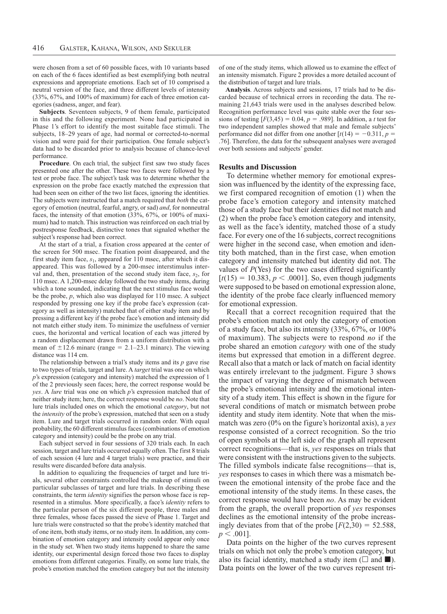were chosen from a set of 60 possible faces, with 10 variants based on each of the 6 faces identified as best exemplifying both neutral expressions and appropriate emotions. Each set of 10 comprised a neutral version of the face, and three different levels of intensity (33%, 67%, and 100% of maximum) for each of three emotion categories (sadness, anger, and fear).

**Subjects**. Seventeen subjects, 9 of them female, participated in this and the following experiment. None had participated in Phase 1's effort to identify the most suitable face stimuli. The subjects, 18–29 years of age, had normal or corrected-to-normal vision and were paid for their participation. One female subject's data had to be discarded prior to analysis because of chance-level performance.

**Procedure**. On each trial, the subject first saw two study faces presented one after the other. These two faces were followed by a test or probe face. The subject's task was to determine whether the expression on the probe face exactly matched the expression that had been seen on either of the two list faces, ignoring the identities. The subjects were instructed that a match required that *both* the category of emotion (neutral, fearful, angry, or sad) *and*, for nonneutral faces, the intensity of that emotion (33%, 67%, or 100% of maximum) had to match. This instruction was reinforced on each trial by postresponse feedback, distinctive tones that signaled whether the subject's response had been correct.

At the start of a trial, a fixation cross appeared at the center of the screen for 500 msec. The fixation point disappeared, and the first study item face,  $s_1$ , appeared for 110 msec, after which it disappeared. This was followed by a 200-msec interstimulus interval and, then, presentation of the second study item face,  $s<sub>2</sub>$ , for 110 msec. A 1,200-msec delay followed the two study items, during which a tone sounded, indicating that the next stimulus face would be the probe, *p*, which also was displayed for 110 msec. A subject responded by pressing one key if the probe face's expression (category as well as intensity) matched that of either study item and by pressing a different key if the probe face's emotion and intensity did not match either study item. To minimize the usefulness of vernier cues, the horizontal and vertical location of each was jittered by a random displacement drawn from a uniform distribution with a mean of  $\pm 12.6$  minarc (range = 2.1–23.1 minarc). The viewing distance was 114 cm.

The relationship between a trial's study items and its *p* gave rise to two types of trials, target and lure. A *target* trial was one on which *p*'s expression (category and intensity) matched the expression of 1 of the 2 previously seen faces; here, the correct response would be *yes*. A *lure* trial was one on which *p*'s expression matched that of neither study item; here, the correct response would be *no*. Note that lure trials included ones on which the emotional *category*, but not the *intensity* of the probe's expression, matched that seen on a study item. Lure and target trials occurred in random order. With equal probability, the 60 different stimulus faces (combinations of emotion category and intensity) could be the probe on any trial.

Each subject served in four sessions of 320 trials each. In each session, target and lure trials occurred equally often. The first 8 trials of each session (4 lure and 4 target trials) were practice, and their results were discarded before data analysis.

In addition to equalizing the frequencies of target and lure trials, several other constraints controlled the makeup of stimuli on particular subclasses of target and lure trials. In describing these constraints, the term *identity* signifies the person whose face is represented in a stimulus. More specifically, a face's *identity* refers to the particular person of the six different people, three males and three females, whose faces passed the sieve of Phase 1. Target and lure trials were constructed so that the probe's identity matched that of one item, both study items, or no study item. In addition, any combination of emotion category and intensity could appear only once in the study set. When two study items happened to share the same identity, our experimental design forced those two faces to display emotions from different categories. Finally, on some lure trials, the probe's emotion matched the emotion category but not the intensity of one of the study items, which allowed us to examine the effect of an intensity mismatch. Figure 2 provides a more detailed account of the distribution of target and lure trials.

**Analysis**. Across subjects and sessions, 17 trials had to be discarded because of technical errors in recording the data. The remaining 21,643 trials were used in the analyses described below. Recognition performance level was quite stable over the four sessions of testing  $[F(3,45) = 0.04, p = .989]$ . In addition, a *t* test for two independent samples showed that male and female subjects' performance did not differ from one another  $[t(14) = -0.311, p =$ .76]. Therefore, the data for the subsequent analyses were averaged over both sessions and subjects' gender.

#### **Results and Discussion**

To determine whether memory for emotional expression was influenced by the identity of the expressing face, we first compared recognition of emotion (1) when the probe face's emotion category and intensity matched those of a study face but their identities did not match and (2) when the probe face's emotion category and intensity, as well as the face's identity, matched those of a study face. For every one of the 16 subjects, correct recognitions were higher in the second case, when emotion and identity both matched, than in the first case, when emotion category and intensity matched but identity did not. The values of *P*(Yes) for the two cases differed significantly  $[t(15) = 10.383, p < .0001]$ . So, even though judgments were supposed to be based on emotional expression alone, the identity of the probe face clearly influenced memory for emotional expression.

Recall that a correct recognition required that the probe's emotion match not only the category of emotion of a study face, but also its intensity (33%, 67%, or 100% of maximum). The subjects were to respond *no* if the probe shared an emotion *category* with one of the study items but expressed that emotion in a different degree. Recall also that a match or lack of match on facial identity was entirely irrelevant to the judgment. Figure 3 shows the impact of varying the degree of mismatch between the probe's emotional intensity and the emotional intensity of a study item. This effect is shown in the figure for several conditions of match or mismatch between probe identity and study item identity. Note that when the mismatch was zero (0% on the figure's horizontal axis), a *yes*  response consisted of a correct recognition. So the trio of open symbols at the left side of the graph all represent correct recognitions—that is, *yes* responses on trials that were consistent with the instructions given to the subjects. The filled symbols indicate false recognitions—that is, *yes* responses to cases in which there was a mismatch between the emotional intensity of the probe face and the emotional intensity of the study items. In these cases, the correct response would have been *no*. As may be evident from the graph, the overall proportion of *yes* responses declines as the emotional intensity of the probe increasingly deviates from that of the probe  $[F(2,30) = 52.588]$ ,  $p < .001$ ].

Data points on the higher of the two curves represent trials on which not only the probe's emotion category, but also its facial identity, matched a study item  $(\Box$  and  $\blacksquare)$ . Data points on the lower of the two curves represent tri-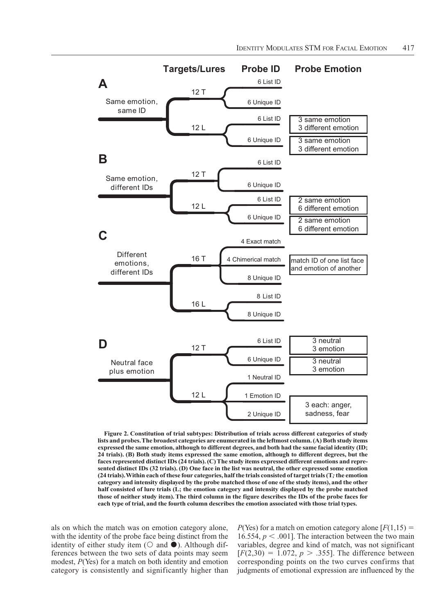

**Figure 2. Constitution of trial subtypes: Distribution of trials across different categories of study lists and probes. The broadest categories are enumerated in the leftmost column. (A)Both study items expressed the same emotion, although to different degrees, and both had the same facial identity (ID; 24 trials). (B) Both study items expressed the same emotion, although to different degrees, but the faces represented distinct IDs (24 trials). (C)The study items expressed different emotions and represented distinct IDs (32 trials). (D) One face in the list was neutral, the other expressed some emotion (24 trials). Within each of these four categories, half the trials consisted of targettrials (T***;* **the emotion category and intensity displayed by the probe matched those of one of the study items), and the other half consisted of lure trials (L; the emotion category and intensity displayed by the probe matched those of neither study item). The third column in the figure describes the IDs of the probe faces for each type of trial, and the fourth column describes the emotion associated with those trial types.**

als on which the match was on emotion category alone, with the identity of the probe face being distinct from the identity of either study item ( $\circ$  and  $\bullet$ ). Although differences between the two sets of data points may seem modest, *P*(Yes) for a match on both identity and emotion category is consistently and significantly higher than *P*(Yes) for a match on emotion category alone  $[F(1,15) =$ 16.554,  $p < .001$ ]. The interaction between the two main variables, degree and kind of match, was not significant  $[F(2,30) = 1.072, p > .355]$ . The difference between corresponding points on the two curves confirms that judgments of emotional expression are influenced by the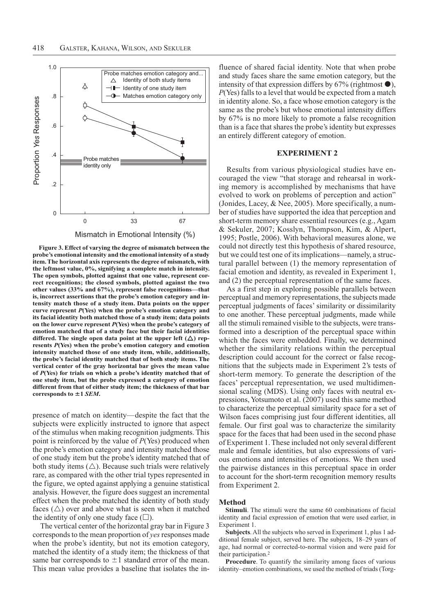

**Figure 3. Effect of varying the degree of mismatch between the probe's emotional intensity and the emotional intensity of a study item. The horizontal axis represents the degree of mismatch, with the leftmost value, 0%, signifying a complete match in intensity. The open symbols, plotted against that one value, represent correct recognitions; the closed symbols, plotted against the two other values (33% and 67%), represent false recognitions—that is, incorrect assertions that the probe's emotion category and intensity match those of a study item. Data points on the upper curve represent** *P***(Yes) when the probe's emotion category and its facial identity both matched those of a study item; data points on the lower curve represent** *P***(Yes) when the probe's category of emotion matched that of a study face but their facial identities**  differed. The single open data point at the upper left  $(\triangle)$  rep**resents** *P***(Yes) when the probe's emotion category and emotion intensity matched those of one study item, while, additionally, the probe's facial identity matched that of both study items. The vertical center of the gray horizontal bar gives the mean value of** *P***(Yes) for trials on which a probe's identity matched that of one study item, but the probe expressed a category of emotion different from that of either study item; the thickness of that bar corresponds to**  $\pm 1$ *SEM***.** 

presence of match on identity—despite the fact that the subjects were explicitly instructed to ignore that aspect of the stimulus when making recognition judgments. This point is reinforced by the value of *P*(Yes) produced when the probe's emotion category and intensity matched those of one study item but the probe's identity matched that of both study items  $(\triangle)$ . Because such trials were relatively rare, as compared with the other trial types represented in the figure, we opted against applying a genuine statistical analysis. However, the figure does suggest an incremental effect when the probe matched the identity of both study faces  $(\triangle)$  over and above what is seen when it matched the identity of only one study face  $(\Box)$ .

The vertical center of the horizontal gray bar in Figure 3 corresponds to the mean proportion of *yes* responses made when the probe's identity, but not its emotion category, matched the identity of a study item; the thickness of that same bar corresponds to  $\pm 1$  standard error of the mean. This mean value provides a baseline that isolates the influence of shared facial identity. Note that when probe and study faces share the same emotion category, but the intensity of that expression differs by  $67\%$  (rightmost  $\bullet$ ), *P*(Yes) falls to a level that would be expected from a match in identity alone. So, a face whose emotion category is the same as the probe's but whose emotional intensity differs by 67% is no more likely to promote a false recognition than is a face that shares the probe's identity but expresses an entirely different category of emotion.

# **EXPERIMENT 2**

Results from various physiological studies have encouraged the view "that storage and rehearsal in working memory is accomplished by mechanisms that have evolved to work on problems of perception and action" (Jonides, Lacey, & Nee, 2005). More specifically, a number of studies have supported the idea that perception and short-term memory share essential resources (e.g., Agam & Sekuler, 2007; Kosslyn, Thompson, Kim, & Alpert, 1995; Postle, 2006). With behavioral measures alone, we could not directly test this hypothesis of shared resource, but we could test one of its implications—namely, a structural parallel between (1) the memory representation of facial emotion and identity, as revealed in Experiment 1, and (2) the perceptual representation of the same faces.

As a first step in exploring possible parallels between perceptual and memory representations, the subjects made perceptual judgments of faces' similarity or dissimilarity to one another. These perceptual judgments, made while all the stimuli remained visible to the subjects, were transformed into a description of the perceptual space within which the faces were embedded. Finally, we determined whether the similarity relations within the perceptual description could account for the correct or false recognitions that the subjects made in Experiment 2's tests of short-term memory. To generate the description of the faces' perceptual representation, we used multidimensional scaling (MDS). Using only faces with neutral expressions, Yotsumoto et al. (2007) used this same method to characterize the perceptual similarity space for a set of Wilson faces comprising just four different identities, all female. Our first goal was to characterize the similarity space for the faces that had been used in the second phase of Experiment 1. These included not only several different male and female identities, but also expressions of various emotions and intensities of emotions. We then used the pairwise distances in this perceptual space in order to account for the short-term recognition memory results from Experiment 2.

#### **Method**

**Stimuli**. The stimuli were the same 60 combinations of facial identity and facial expression of emotion that were used earlier, in Experiment 1.

**Subjects**. All the subjects who served in Experiment 1, plus 1 additional female subject, served here. The subjects, 18–29 years of age, had normal or corrected-to-normal vision and were paid for their participation.2

**Procedure**. To quantify the similarity among faces of various identity–emotion combinations, we used the method of triads (Torg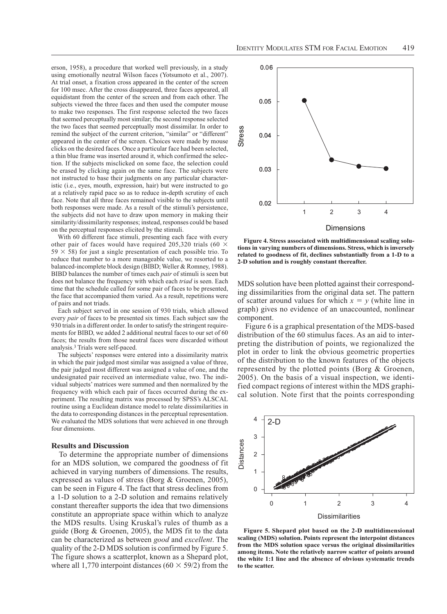erson, 1958), a procedure that worked well previously, in a study using emotionally neutral Wilson faces (Yotsumoto et al., 2007). At trial onset, a fixation cross appeared in the center of the screen for 100 msec. After the cross disappeared, three faces appeared, all equidistant from the center of the screen and from each other. The subjects viewed the three faces and then used the computer mouse to make two responses. The first response selected the two faces that seemed perceptually most similar; the second response selected the two faces that seemed perceptually most dissimilar. In order to remind the subject of the current criterion, "similar" or "different" appeared in the center of the screen. Choices were made by mouse clicks on the desired faces. Once a particular face had been selected, a thin blue frame was inserted around it, which confirmed the selection. If the subjects misclicked on some face, the selection could be erased by clicking again on the same face. The subjects were not instructed to base their judgments on any particular characteristic (i.e., eyes, mouth, expression, hair) but were instructed to go at a relatively rapid pace so as to reduce in-depth scrutiny of each face. Note that all three faces remained visible to the subjects until both responses were made. As a result of the stimuli's persistence, the subjects did not have to draw upon memory in making their similarity/dissimilarity responses; instead, responses could be based on the perceptual responses elicited by the stimuli.

With 60 different face stimuli, presenting each face with every other pair of faces would have required 205,320 trials (60  $\times$  $59 \times 58$ ) for just a single presentation of each possible trio. To reduce that number to a more manageable value, we resorted to a balanced-incomplete block design (BIBD; Weller & Romney, 1988). BIBD balances the number of times each *pair* of stimuli is seen but does not balance the frequency with which each *triad* is seen. Each time that the schedule called for some pair of faces to be presented, the face that accompanied them varied. As a result, repetitions were of pairs and not triads.

Each subject served in one session of 930 trials, which allowed every *pair* of faces to be presented six times. Each subject saw the 930 trials in a different order. In order to satisfy the stringent requirements for BIBD, we added 2 additional neutral faces to our set of 60 faces; the results from those neutral faces were discarded without analysis.3 Trials were self-paced.

The subjects' responses were entered into a dissimilarity matrix in which the pair judged most similar was assigned a value of three, the pair judged most different was assigned a value of one, and the undesignated pair received an intermediate value, two. The individual subjects' matrices were summed and then normalized by the frequency with which each pair of faces occurred during the experiment. The resulting matrix was processed by SPSS's ALSCAL routine using a Euclidean distance model to relate dissimilarities in the data to corresponding distances in the perceptual representation. We evaluated the MDS solutions that were achieved in one through four dimensions.

## **Results and Discussion**

To determine the appropriate number of dimensions for an MDS solution, we compared the goodness of fit achieved in varying numbers of dimensions. The results, expressed as values of stress (Borg & Groenen, 2005), can be seen in Figure 4. The fact that stress declines from a 1-D solution to a 2-D solution and remains relatively constant thereafter supports the idea that two dimensions constitute an appropriate space within which to analyze the MDS results. Using Kruskal's rules of thumb as a guide (Borg & Groenen, 2005), the MDS fit to the data can be characterized as between *good* and *excellent*. The quality of the 2-D MDS solution is confirmed by Figure 5. The figure shows a scatterplot, known as a Shepard plot, where all 1,770 interpoint distances (60  $\times$  59/2) from the



**Figure 4. Stress associated with multidimensional scaling solutions in varying numbers of dimensions. Stress, which is inversely related to goodness of fit, declines substantially from a 1-D to a 2-D solution and is roughly constant thereafter.**

MDS solution have been plotted against their corresponding dissimilarities from the original data set. The pattern of scatter around values for which  $x = y$  (white line in graph) gives no evidence of an unaccounted, nonlinear component.

Figure 6 is a graphical presentation of the MDS-based distribution of the 60 stimulus faces. As an aid to interpreting the distribution of points, we regionalized the plot in order to link the obvious geometric properties of the distribution to the known features of the objects represented by the plotted points (Borg & Groenen, 2005). On the basis of a visual inspection, we identified compact regions of interest within the MDS graphical solution. Note first that the points corresponding



**Figure 5. Shepard plot based on the 2-D multidimensional scaling (MDS) solution. Points represent the interpoint distances from the MDS solution space versus the original dissimilarities among items. Note the relatively narrow scatter of points around the white 1:1 line and the absence of obvious systematic trends to the scatter.**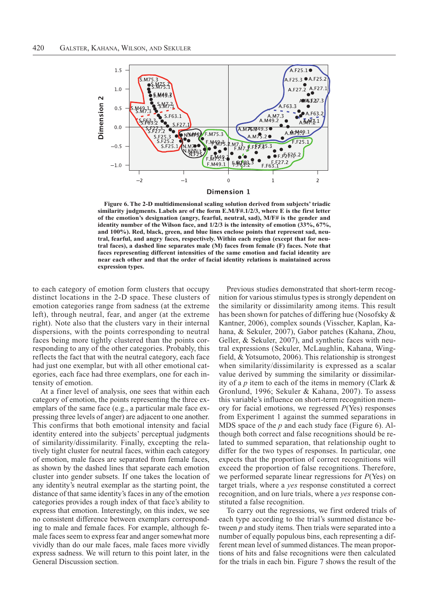

**Figure 6. The 2-D multidimensional scaling solution derived from subjects' triadic similarity judgments. Labels are of the form E.M/F#.1/2/3, where E is the first letter of the emotion's designation (angry, fearful, neutral, sad), M/F# is the gender and identity number of the Wilson face, and 1/2/3 is the intensity of emotion (33%, 67%, and 100%). Red, black, green, and blue lines enclose points that represent sad, neutral, fearful, and angry faces, respectively. Within each region (except that for neutral faces), a dashed line separates male (M) faces from female (F) faces. Note that faces representing different intensities of the same emotion and facial identity are near each other and that the order of facial identity relations is maintained across expression types.**

to each category of emotion form clusters that occupy distinct locations in the 2-D space. These clusters of emotion categories range from sadness (at the extreme left), through neutral, fear, and anger (at the extreme right). Note also that the clusters vary in their internal dispersions, with the points corresponding to neutral faces being more tightly clustered than the points corresponding to any of the other categories. Probably, this reflects the fact that with the neutral category, each face had just one exemplar, but with all other emotional categories, each face had three exemplars, one for each intensity of emotion.

At a finer level of analysis, one sees that within each category of emotion, the points representing the three exemplars of the same face (e.g., a particular male face expressing three levels of anger) are adjacent to one another. This confirms that both emotional intensity and facial identity entered into the subjects' perceptual judgments of similarity/dissimilarity. Finally, excepting the relatively tight cluster for neutral faces, within each category of emotion, male faces are separated from female faces, as shown by the dashed lines that separate each emotion cluster into gender subsets. If one takes the location of any identity's neutral exemplar as the starting point, the distance of that same identity's faces in any of the emotion categories provides a rough index of that face's ability to express that emotion. Interestingly, on this index, we see no consistent difference between exemplars corresponding to male and female faces. For example, although female faces seem to express fear and anger somewhat more vividly than do our male faces, male faces more vividly express sadness. We will return to this point later, in the General Discussion section.

Previous studies demonstrated that short-term recognition for various stimulus types is strongly dependent on the similarity or dissimilarity among items. This result has been shown for patches of differing hue (Nosofsky & Kantner, 2006), complex sounds (Visscher, Kaplan, Kahana, & Sekuler, 2007), Gabor patches (Kahana, Zhou, Geller, & Sekuler, 2007), and synthetic faces with neutral expressions (Sekuler, McLaughlin, Kahana, Wingfield, & Yotsumoto, 2006). This relationship is strongest when similarity/dissimilarity is expressed as a scalar value derived by summing the similarity or dissimilarity of a *p* item to each of the items in memory (Clark & Gronlund, 1996; Sekuler & Kahana, 2007). To assess this variable's influence on short-term recognition memory for facial emotions, we regressed *P*(Yes) responses from Experiment 1 against the summed separations in MDS space of the *p* and each study face (Figure 6). Although both correct and false recognitions should be related to summed separation, that relationship ought to differ for the two types of responses. In particular, one expects that the proportion of correct recognitions will exceed the proportion of false recognitions. Therefore, we performed separate linear regressions for *P*(Yes) on target trials, where a *yes* response constituted a correct recognition, and on lure trials, where a *yes* response constituted a false recognition.

To carry out the regressions, we first ordered trials of each type according to the trial's summed distance between *p* and study items. Then trials were separated into a number of equally populous bins, each representing a different mean level of summed distances. The mean proportions of hits and false recognitions were then calculated for the trials in each bin. Figure 7 shows the result of the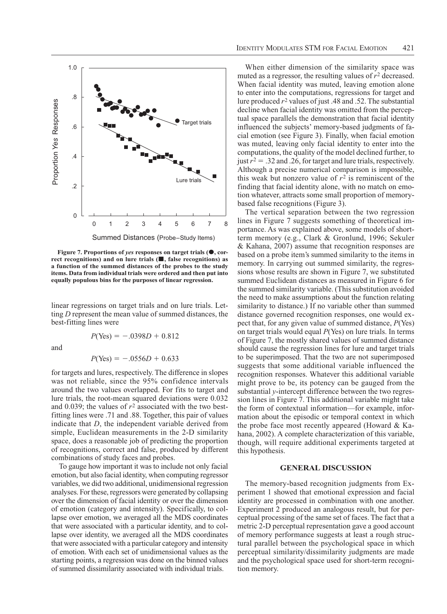

**Figure 7. Proportions of** *yes* **responses on target trials (, correct recognitions) and on lure trials (, false recognitions) as a function of the summed distances of the probes to the study items. Data from individual trials were ordered and then put into equally populous bins for the purposes of linear regression.**

linear regressions on target trials and on lure trials. Letting *D* represent the mean value of summed distances, the best-fitting lines were

and

$$
P(Yes) = -.0398D + 0.812
$$

$$
P(Yes) = -.0556D + 0.633
$$

for targets and lures, respectively. The difference in slopes was not reliable, since the 95% confidence intervals around the two values overlapped. For fits to target and lure trials, the root-mean squared deviations were 0.032 and 0.039; the values of *r*2 associated with the two bestfitting lines were .71 and .88. Together, this pair of values indicate that *D*, the independent variable derived from simple, Euclidean measurements in the 2-D similarity space, does a reasonable job of predicting the proportion of recognitions, correct and false, produced by different combinations of study faces and probes.

To gauge how important it was to include not only facial emotion, but also facial identity, when computing regressor variables, we did two additional, unidimensional regression analyses. For these, regressors were generated by collapsing over the dimension of facial identity or over the dimension of emotion (category and intensity). Specifically, to collapse over emotion, we averaged all the MDS coordinates that were associated with a particular identity, and to collapse over identity, we averaged all the MDS coordinates that were associated with a particular category and intensity of emotion. With each set of unidimensional values as the starting points, a regression was done on the binned values of summed dissimilarity associated with individual trials.

When either dimension of the similarity space was muted as a regressor, the resulting values of *r*2 decreased. When facial identity was muted, leaving emotion alone to enter into the computations, regressions for target and lure produced *r*2 values of just .48 and .52. The substantial decline when facial identity was omitted from the perceptual space parallels the demonstration that facial identity influenced the subjects' memory-based judgments of facial emotion (see Figure 3). Finally, when facial emotion was muted, leaving only facial identity to enter into the computations, the quality of the model declined further, to just  $r^2 = 0.32$  and 0.26, for target and lure trials, respectively. Although a precise numerical comparison is impossible, this weak but nonzero value of  $r^2$  is reminiscent of the finding that facial identity alone, with no match on emotion whatever, attracts some small proportion of memorybased false recognitions (Figure 3).

The vertical separation between the two regression lines in Figure 7 suggests something of theoretical importance. As was explained above, some models of shortterm memory (e.g., Clark & Gronlund, 1996; Sekuler & Kahana, 2007) assume that recognition responses are based on a probe item's summed similarity to the items in memory. In carrying out summed similarity, the regressions whose results are shown in Figure 7, we substituted summed Euclidean distances as measured in Figure 6 for the summed similarity variable. (This substitution avoided the need to make assumptions about the function relating similarity to distance.) If no variable other than summed distance governed recognition responses, one would expect that, for any given value of summed distance, *P*(Yes) on target trials would equal *P*(Yes) on lure trials. In terms of Figure 7, the mostly shared values of summed distance should cause the regression lines for lure and target trials to be superimposed. That the two are not superimposed suggests that some additional variable influenced the recognition responses. Whatever this additional variable might prove to be, its potency can be gauged from the substantial *y*-intercept difference between the two regression lines in Figure 7. This additional variable might take the form of contextual information—for example, information about the episodic or temporal context in which the probe face most recently appeared (Howard & Kahana, 2002). A complete characterization of this variable, though, will require additional experiments targeted at this hypothesis.

# **GENERAL DISCUSSION**

The memory-based recognition judgments from Experiment 1 showed that emotional expression and facial identity are processed in combination with one another. Experiment 2 produced an analogous result, but for perceptual processing of the same set of faces. The fact that a metric 2-D perceptual representation gave a good account of memory performance suggests at least a rough structural parallel between the psychological space in which perceptual similarity/dissimilarity judgments are made and the psychological space used for short-term recognition memory.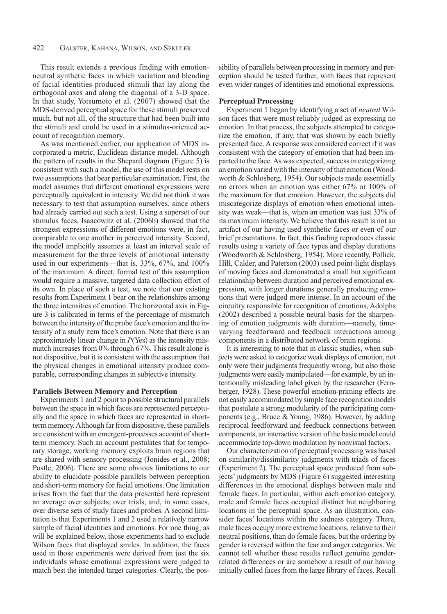This result extends a previous finding with emotionneutral synthetic faces in which variation and blending of facial identities produced stimuli that lay along the orthogonal axes and along the diagonal of a 3-D space. In that study, Yotsumoto et al. (2007) showed that the MDS-derived perceptual space for these stimuli preserved much, but not all, of the structure that had been built into the stimuli and could be used in a stimulus-oriented account of recognition memory.

As was mentioned earlier, our application of MDS incorporated a metric, Euclidean distance model. Although the pattern of results in the Shepard diagram (Figure 5) is consistent with such a model, the use of this model rests on two assumptions that bear particular examination. First, the model assumes that different emotional expressions were perceptually equivalent in intensity. We did not think it was necessary to test that assumption ourselves, since others had already carried out such a test. Using a superset of our stimulus faces, Isaacowitz et al. (2006b) showed that the strongest expressions of different emotions were, in fact, comparable to one another in perceived intensity. Second, the model implicitly assumes at least an interval scale of measurement for the three levels of emotional intensity used in our experiments—that is, 33%, 67%, and 100% of the maximum. A direct, formal test of this assumption would require a massive, targeted data collection effort of its own. In place of such a test, we note that our existing results from Experiment 1 bear on the relationships among the three intensities of emotion. The horizontal axis in Figure 3 is calibrated in terms of the percentage of mismatch between the intensity of the probe face's emotion and the intensity of a study item face's emotion. Note that there is an approximately linear change in *P*(Yes) as the intensity mismatch increases from 0% through 67%. This result alone is not dispositive, but it is consistent with the assumption that the physical changes in emotional intensity produce comparable, corresponding changes in subjective intensity.

# **Parallels Between Memory and Perception**

Experiments 1 and 2 point to possible structural parallels between the space in which faces are represented perceptually and the space in which faces are represented in shortterm memory. Although far from dispositive, these parallels are consistent with an emergent-processes account of shortterm memory. Such an account postulates that for temporary storage, working memory exploits brain regions that are shared with sensory processing (Jonides et al., 2008; Postle, 2006). There are some obvious limitations to our ability to elucidate possible parallels between perception and short-term memory for facial emotions. One limitation arises from the fact that the data presented here represent an average over subjects, over trials, and, in some cases, over diverse sets of study faces and probes. A second limitation is that Experiments 1 and 2 used a relatively narrow sample of facial identities and emotions. For one thing, as will be explained below, those experiments had to exclude Wilson faces that displayed smiles. In addition, the faces used in those experiments were derived from just the six individuals whose emotional expressions were judged to match best the intended target categories. Clearly, the possibility of parallels between processing in memory and perception should be tested further, with faces that represent even wider ranges of identities and emotional expressions.

## **Perceptual Processing**

Experiment 1 began by identifying a set of *neutral* Wilson faces that were most reliably judged as expressing no emotion. In that process, the subjects attempted to categorize the emotion, if any, that was shown by each briefly presented face. A response was considered correct if it was consistent with the category of emotion that had been imparted to the face. As was expected, success in categorizing an emotion varied with the intensity of that emotion (Woodworth & Schlosberg, 1954). Our subjects made essentially no errors when an emotion was either 67% or 100% of the maximum for that emotion. However, the subjects did miscategorize displays of emotion when emotional intensity was weak—that is, when an emotion was just 33% of its maximum intensity. We believe that this result is not an artifact of our having used synthetic faces or even of our brief presentations. In fact, this finding reproduces classic results using a variety of face types and display durations (Woodworth & Schlosberg, 1954). More recently, Pollick, Hill, Calder, and Paterson (2003) used point-light displays of moving faces and demonstrated a small but significant relationship between duration and perceived emotional expression, with longer durations generally producing emotions that were judged more intense. In an account of the circuitry responsible for recognition of emotions, Adolphs (2002) described a possible neural basis for the sharpening of emotion judgments with duration—namely, timevarying feedforward and feedback interactions among components in a distributed network of brain regions.

It is interesting to note that in classic studies, when subjects were asked to categorize weak displays of emotion, not only were their judgments frequently wrong, but also those judgments were easily manipulated—for example, by an intentionally misleading label given by the researcher (Fernberger, 1928). These powerful emotion-priming effects are not easily accommodated by simple face recognition models that postulate a strong modularity of the participating components (e.g., Bruce & Young, 1986). However, by adding reciprocal feedforward and feedback connections between components, an interactive version of the basic model could accommodate top-down modulation by nonvisual factors.

Our characterization of perceptual processing was based on similarity/dissimilarity judgments with triads of faces (Experiment 2). The perceptual space produced from subjects' judgments by MDS (Figure 6) suggested interesting differences in the emotional displays between male and female faces. In particular, within each emotion category, male and female faces occupied distinct but neighboring locations in the perceptual space. As an illustration, consider faces' locations within the sadness category. There, male faces occupy more extreme locations, relative to their neutral positions, than do female faces, but the ordering by gender is reversed within the fear and anger categories. We cannot tell whether these results reflect genuine genderrelated differences or are somehow a result of our having initially culled faces from the large library of faces. Recall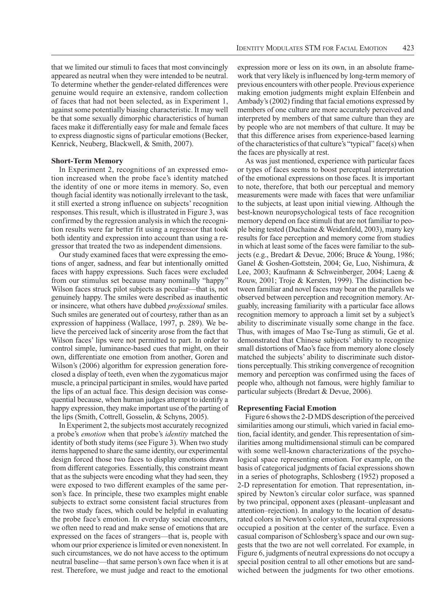that we limited our stimuli to faces that most convincingly appeared as neutral when they were intended to be neutral. To determine whether the gender-related differences were genuine would require an extensive, random collection of faces that had not been selected, as in Experiment 1, against some potentially biasing characteristic. It may well be that some sexually dimorphic characteristics of human faces make it differentially easy for male and female faces to express diagnostic signs of particular emotions (Becker, Kenrick, Neuberg, Blackwell, & Smith, 2007).

## **Short-Term Memory**

In Experiment 2, recognitions of an expressed emotion increased when the probe face's identity matched the identity of one or more items in memory. So, even though facial identity was notionally irrelevant to the task, it still exerted a strong influence on subjects' recognition responses. This result, which is illustrated in Figure 3, was confirmed by the regression analysis in which the recognition results were far better fit using a regressor that took both identity and expression into account than using a regressor that treated the two as independent dimensions.

Our study examined faces that were expressing the emotions of anger, sadness, and fear but intentionally omitted faces with happy expressions. Such faces were excluded from our stimulus set because many nominally "happy" Wilson faces struck pilot subjects as peculiar—that is, not genuinely happy. The smiles were described as inauthentic or insincere, what others have dubbed *professional* smiles. Such smiles are generated out of courtesy, rather than as an expression of happiness (Wallace, 1997, p. 289). We believe the perceived lack of sincerity arose from the fact that Wilson faces' lips were not permitted to part. In order to control simple, luminance-based cues that might, on their own, differentiate one emotion from another, Goren and Wilson's (2006) algorithm for expression generation foreclosed a display of teeth, even when the zygomaticus major muscle, a principal participant in smiles, would have parted the lips of an actual face. This design decision was consequential because, when human judges attempt to identify a happy expression, they make important use of the parting of the lips (Smith, Cottrell, Gosselin, & Schyns, 2005).

In Experiment 2, the subjects most accurately recognized a probe's *emotion* when that probe's *identity* matched the identity of both study items (see Figure 3). When two study items happened to share the same identity, our experimental design forced those two faces to display emotions drawn from different categories. Essentially, this constraint meant that as the subjects were encoding what they had seen, they were exposed to two different examples of the same person's face. In principle, these two examples might enable subjects to extract some consistent facial structures from the two study faces, which could be helpful in evaluating the probe face's emotion. In everyday social encounters, we often need to read and make sense of emotions that are expressed on the faces of strangers—that is, people with whom our prior experience is limited or even nonexistent. In such circumstances, we do not have access to the optimum neutral baseline—that same person's own face when it is at rest. Therefore, we must judge and react to the emotional

expression more or less on its own, in an absolute framework that very likely is influenced by long-term memory of previous encounters with other people. Previous experience making emotion judgments might explain Elfenbein and Ambady's (2002) finding that facial emotions expressed by members of one culture are more accurately perceived and interpreted by members of that same culture than they are by people who are not members of that culture. It may be that this difference arises from experience-based learning of the characteristics of that culture's "typical" face(s) when the faces are physically at rest.

As was just mentioned, experience with particular faces or types of faces seems to boost perceptual interpretation of the emotional expressions on those faces. It is important to note, therefore, that both our perceptual and memory measurements were made with faces that were unfamiliar to the subjects, at least upon initial viewing. Although the best-known neuropsychological tests of face recognition memory depend on face stimuli that are not familiar to people being tested (Duchaine & Weidenfeld, 2003), many key results for face perception and memory come from studies in which at least some of the faces were familiar to the subjects (e.g., Bredart & Devue, 2006; Bruce & Young, 1986; Ganel & Goshen-Gottstein, 2004; Ge, Luo, Nishimura, & Lee, 2003; Kaufmann & Schweinberger, 2004; Laeng & Rouw, 2001; Troje & Kersten, 1999). The distinction between familiar and novel faces may bear on the parallels we observed between perception and recognition memory. Arguably, increasing familiarity with a particular face allows recognition memory to approach a limit set by a subject's ability to discriminate visually some change in the face. Thus, with images of Mao Tse-Tung as stimuli, Ge et al. demonstrated that Chinese subjects' ability to recognize small distortions of Mao's face from memory alone closely matched the subjects' ability to discriminate such distortions perceptually. This striking convergence of recognition memory and perception was confirmed using the faces of people who, although not famous, were highly familiar to particular subjects (Bredart & Devue, 2006).

#### **Representing Facial Emotion**

Figure 6 shows the 2-D MDS description of the perceived similarities among our stimuli, which varied in facial emotion, facial identity, and gender. This representation of similarities among multidimensional stimuli can be compared with some well-known characterizations of the psychological space representing emotion. For example, on the basis of categorical judgments of facial expressions shown in a series of photographs, Schlosberg (1952) proposed a 2-D representation for emotion. That representation, inspired by Newton's circular color surface, was spanned by two principal, opponent axes (pleasant–unpleasant and attention–rejection). In analogy to the location of desaturated colors in Newton's color system, neutral expressions occupied a position at the center of the surface. Even a casual comparison of Schlosberg's space and our own suggests that the two are not well correlated. For example, in Figure 6, judgments of neutral expressions do not occupy a special position central to all other emotions but are sandwiched between the judgments for two other emotions.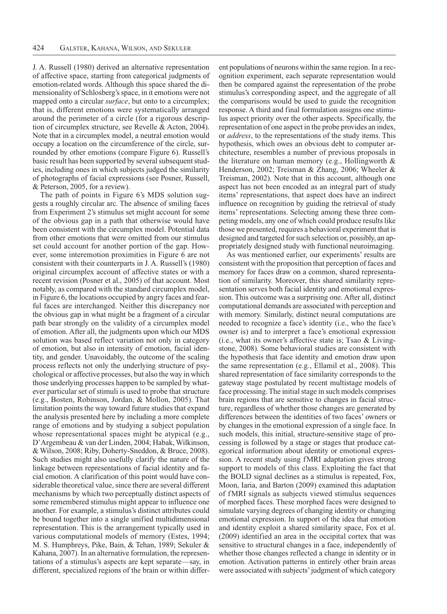J. A. Russell (1980) derived an alternative representation of affective space, starting from categorical judgments of emotion-related words. Although this space shared the dimensionality of Schlosberg's space, in it emotions were not mapped onto a circular *surface*, but onto to a circumplex; that is, different emotions were systematically arranged around the perimeter of a circle (for a rigorous description of circumplex structure, see Revelle & Acton, 2004). Note that in a circumplex model, a neutral emotion would occupy a location on the circumference of the circle, surrounded by other emotions (compare Figure 6). Russell's basic result has been supported by several subsequent studies, including ones in which subjects judged the similarity of photographs of facial expressions (see Posner, Russell, & Peterson, 2005, for a review).

The path of points in Figure 6's MDS solution suggests a roughly circular arc. The absence of smiling faces from Experiment 2's stimulus set might account for some of the obvious gap in a path that otherwise would have been consistent with the circumplex model. Potential data from other emotions that were omitted from our stimulus set could account for another portion of the gap. However, some interemotion proximities in Figure 6 are not consistent with their counterparts in J. A. Russell's (1980) original circumplex account of affective states or with a recent revision (Posner et al., 2005) of that account. Most notably, as compared with the standard circumplex model, in Figure 6, the locations occupied by angry faces and fearful faces are interchanged. Neither this discrepancy nor the obvious gap in what might be a fragment of a circular path bear strongly on the validity of a circumplex model of emotion. After all, the judgments upon which our MDS solution was based reflect variation not only in category of emotion, but also in intensity of emotion, facial identity, and gender. Unavoidably, the outcome of the scaling process reflects not only the underlying structure of psychological or affective processes, but also the way in which those underlying processes happen to be sampled by whatever particular set of stimuli is used to probe that structure (e.g., Bosten, Robinson, Jordan, & Mollon, 2005). That limitation points the way toward future studies that expand the analysis presented here by including a more complete range of emotions and by studying a subject population whose representational spaces might be atypical (e.g., D'Argembeau & van der Linden, 2004; Habak, Wilkinson, & Wilson, 2008; Riby, Doherty-Sneddon, & Bruce, 2008). Such studies might also usefully clarify the nature of the linkage between representations of facial identity and facial emotion. A clarification of this point would have considerable theoretical value, since there are several different mechanisms by which two perceptually distinct aspects of some remembered stimulus might appear to influence one another. For example, a stimulus's distinct attributes could be bound together into a single unified multidimensional representation. This is the arrangement typically used in various computational models of memory (Estes, 1994; M. S. Humphreys, Pike, Bain, & Tehan, 1989; Sekuler & Kahana, 2007). In an alternative formulation, the representations of a stimulus's aspects are kept separate—say, in different, specialized regions of the brain or within different populations of neurons within the same region. In a recognition experiment, each separate representation would then be compared against the representation of the probe stimulus's corresponding aspect, and the aggregate of all the comparisons would be used to guide the recognition response. A third and final formulation assigns one stimulus aspect priority over the other aspects. Specifically, the representation of one aspect in the probe provides an index, or *address*, to the representations of the study items. This hypothesis, which owes an obvious debt to computer architecture, resembles a number of previous proposals in the literature on human memory (e.g., Hollingworth & Henderson, 2002; Treisman & Zhang, 2006; Wheeler & Treisman, 2002). Note that in this account, although one aspect has not been encoded as an integral part of study items' representations, that aspect does have an indirect influence on recognition by guiding the retrieval of study items' representations. Selecting among these three competing models, any one of which could produce results like those we presented, requires a behavioral experiment that is designed and targeted for such selection or, possibly, an appropriately designed study with functional neuroimaging.

As was mentioned earlier, our experiments' results are consistent with the proposition that perception of faces and memory for faces draw on a common, shared representation of similarity. Moreover, this shared similarity representation serves both facial identity and emotional expression. This outcome was a surprising one. After all, distinct computational demands are associated with perception and with memory. Similarly, distinct neural computations are needed to recognize a face's identity (i.e., who the face's owner is) and to interpret a face's emotional expression (i.e., what its owner's affective state is; Tsao & Livingstone, 2008). Some behavioral studies are consistent with the hypothesis that face identity and emotion draw upon the same representation (e.g., Ellamil et al., 2008). This shared representation of face similarity corresponds to the gateway stage postulated by recent multistage models of face processing. The initial stage in such models comprises brain regions that are sensitive to changes in facial structure, regardless of whether those changes are generated by differences between the identities of two faces' owners or by changes in the emotional expression of a single face. In such models, this initial, structure-sensitive stage of processing is followed by a stage or stages that produce categorical information about identity or emotional expression. A recent study using fMRI adaptation gives strong support to models of this class. Exploiting the fact that the BOLD signal declines as a stimulus is repeated, Fox, Moon, Iaria, and Barton (2009) examined this adaptation of fMRI signals as subjects viewed stimulus sequences of morphed faces. These morphed faces were designed to simulate varying degrees of changing identity or changing emotional expression. In support of the idea that emotion and identity exploit a shared similarity space, Fox et al. (2009) identified an area in the occipital cortex that was sensitive to structural changes in a face, independently of whether those changes reflected a change in identity or in emotion. Activation patterns in entirely other brain areas were associated with subjects' judgment of which category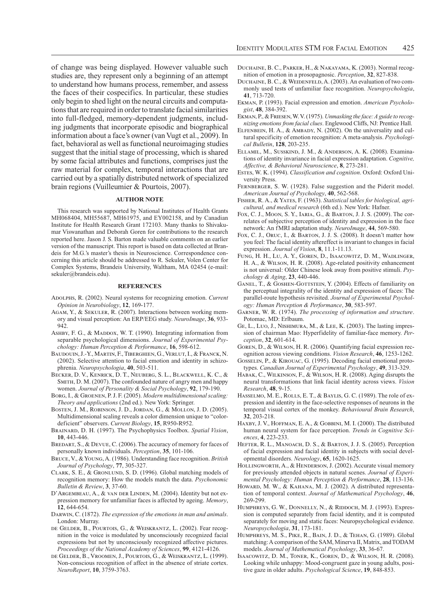of change was being displayed. However valuable such studies are, they represent only a beginning of an attempt to understand how humans process, remember, and assess the faces of their cospecifics. In particular, these studies only begin to shed light on the neural circuits and computations that are required in order to translate facial similarities into full-fledged, memory-dependent judgments, including judgments that incorporate episodic and biographical information about a face's owner (van Vugt et al., 2009). In fact, behavioral as well as functional neuroimaging studies suggest that the initial stage of processing, which is shared by some facial attributes and functions, comprises just the raw material for complex, temporal interactions that are carried out by a spatially distributed network of specialized brain regions (Vuilleumier & Pourtois, 2007).

#### **AUTHOR NOTE**

This research was supported by National Institutes of Health Grants MH068404, MH55687, MH61975, and EY002158, and by Canadian Institute for Health Research Grant 172103. Many thanks to Shivakumar Viswanathan and Deborah Goren for contributions to the research reported here. Jason J. S. Barton made valuable comments on an earlier version of the manuscript. This report is based on data collected at Brandeis for M.G.'s master's thesis in Neuroscience. Correspondence concerning this article should be addressed to R. Sekuler, Volen Center for Complex Systems, Brandeis University, Waltham, MA 02454 (e-mail: sekuler@brandeis.edu).

## **REFERENCES**

- Adolphs, R. (2002). Neural systems for recognizing emotion. *Current Opinion in Neurobiology*, **12**, 169-177.
- Agam, Y., & Sekuler, R. (2007). Interactions between working memory and visual perception: An ERP/EEG study. *NeuroImage*, **36**, 933- 942.
- ASHBY, F. G., & MADDOX, W. T. (1990). Integrating information from separable psychological dimensions. *Journal of Experimental Psychology: Human Perception & Performance*, **16**, 598-612.
- Baudouin, J.-Y., Martin, F., Tiberghien, G., Verlut, I., & Franck,N. (2002). Selective attention to facial emotion and identity in schizophrenia. *Neuropsychologia*, **40**, 503-511.
- Becker, D. V., Kenrick, D. T., Neuberg, S. L., Blackwell, K. C., & Smith, D. M. (2007). The confounded nature of angry men and happy women. *Journal of Personality & Social Psychology*, **92**, 179-190.
- Borg, I., & Groenen, P. J. F. (2005). *Modern multidimensional scaling: Theory and applications* (2nd ed.). New York: Springer.
- Bosten, J. M., Robinson, J. D., Jordan, G., & Mollon, J. D. (2005). Multidimensional scaling reveals a color dimension unique to "colordeficient" observers. *Current Biology*, **15**, R950-R952.
- Brainard, D. H. (1997). The Psychophysics Toolbox. *Spatial Vision*, **10**, 443-446.
- BREDART, S., & DEVUE, C. (2006). The accuracy of memory for faces of personally known individuals. *Perception*, **35**, 101-106.
- Bruce, V., & Young, A. (1986). Understanding face recognition. *British Journal of Psychology*, **77**, 305-327.
- Clark, S. E., & Gronlund, S. D. (1996). Global matching models of recognition memory: How the models match the data. *Psychonomic Bulletin & Review*, **3**, 37-60.
- D'ARGEMBEAU, A., & VAN DER LINDEN, M. (2004). Identity but not expression memory for unfamiliar faces is affected by ageing. *Memory*, **12**, 644-654.
- Darwin, C. (1872). *The expression of the emotions in man and animals*. London: Murray.
- de Gelder, B., Pourtois, G., & Weiskrantz, L. (2002). Fear recognition in the voice is modulated by unconsciously recognized facial expressions but not by unconsciously recognized affective pictures. *Proceedings of the National Academy of Sciences*, **99**, 4121-4126.
- de Gelder, B., Vroomen, J., Pourtois, G., & Weiskrantz, L. (1999). Non-conscious recognition of affect in the absence of striate cortex. *NeuroReport*, **10**, 3759-3763.
- Duchaine, B. C., Parker, H., & Nakayama, K. (2003). Normal recognition of emotion in a prosopagnosic. *Perception*, **32**, 827-838.
- DUCHAINE, B. C., & WEIDENFELD, A. (2003). An evaluation of two commonly used tests of unfamiliar face recognition. *Neuropsychologia*, **41**, 713-720.
- Ekman, P. (1993). Facial expression and emotion. *American Psychologist*, **48**, 384-392.
- Ekman, P., & Friesen, W. V. (1975). *Unmasking the face: A guide to recognizing emotions from facial clues*. Englewood Cliffs, NJ: Prentice Hall.
- ELFENBEIN, H. A., & AMBADY, N. (2002). On the universality and cultural specificity of emotion recognition: A meta-analysis. *Psychological Bulletin*, **128**, 203-235.
- Ellamil, M., Susskind, J. M., & Anderson, A. K. (2008). Examinations of identity invariance in facial expression adaptation. *Cognitive, Affective, & Behavioral Neuroscience*, **8**, 273-281.
- Estes, W. K. (1994). *Classification and cognition*. Oxford: Oxford University Press.
- FERNBERGER, S. W. (1928). False suggestion and the Piderit model. *American Journal of Psychology*, **40**, 562-568.
- Fisher, R. A., & Yates, F. (1963). *Statistical tables for biological, agricultural, and medical research* (6th ed.). New York: Hafner.
- Fox, C. J., Moon, S. Y., Iaria, G., & Barton, J. J. S. (2009). The correlates of subjective perception of identity and expression in the face network: An fMRI adaptation study. *NeuroImage*, **44**, 569-580.
- Fox, C. J., Oruc, I., & Barton, J. J. S. (2008). It doesn't matter how you feel: The facial identity aftereffect is invariant to changes in facial expression. *Journal of Vision*, **8**, 11.1-11.13.
- Fung, H. H., Lu, A. Y., Goren, D., Isaacowitz, D. M., Wadlinger, H. A., & Wilson, H. R. (2008). Age-related positivity enhancement is not universal: Older Chinese look away from positive stimuli. *Psychology & Aging*, **23**, 440-446.
- GANEL, T., & GOSHEN-GOTTSTEIN, Y. (2004). Effects of familiarity on the perceptual integrality of the identity and expression of faces: The parallel-route hypothesis revisited. *Journal of Experimental Psychology: Human Perception & Performance*, **30**, 583-597.
- Garner, W. R. (1974). *The processing of information and structure*. Potomac, MD: Erlbaum.
- Ge, L., Luo, J., Nishimura, M., & Lee, K. (2003). The lasting impression of chairman Mao: Hyperfidelity of familiar-face memory. *Perception*, **32**, 601-614.
- Goren, D., & Wilson, H. R. (2006). Quantifying facial expression recognition across viewing conditions. *Vision Research*, **46**, 1253-1262.
- Gosselin, P., & Kirouac, G. (1995). Decoding facial emotional prototypes. *Canadian Journal of Experimental Psychology*, **49**, 313-329.
- Habak, C., Wilkinson, F., & Wilson, H. R. (2008). Aging disrupts the neural transformations that link facial identity across views. *Vision Research*, **48**, 9-15.
- HASSELMO, M. E., ROLLS, E. T., & BAYLIS, G. C. (1989). The role of expression and identity in the face-selective responses of neurons in the temporal visual cortex of the monkey. *Behavioural Brain Research*, **32**, 203-218.
- HAXBY, J. V., HOFFMAN, E. A., & GOBBINI, M. I. (2000). The distributed human neural system for face perception. *Trends in Cognitive Sciences*, **4**, 223-233.
- HEFTER, R. L., MANOACH, D. S., & BARTON, J. J. S. (2005). Perception of facial expression and facial identity in subjects with social developmental disorders. *Neurology*, **65**, 1620-1625.
- HOLLINGWORTH, A., & HENDERSON, J. (2002). Accurate visual memory for previously attended objects in natural scenes. *Journal of Experimental Psychology: Human Perception & Performance*, **28**, 113-136.
- Howard, M. W., & KAHANA, M. J. (2002). A distributed representation of temporal context. *Journal of Mathematical Psychology*, **46**, 269-299.
- HUMPHREYS, G. W., DONNELLY, N., & RIDDOCH, M. J. (1993). Expression is computed separately from facial identity, and it is computed separately for moving and static faces: Neuropsychological evidence. *Neuropsychologia*, **31**, 173-181.
- Humphreys, M. S., Pike, R., Bain, J. D., & Tehan, G. (1989). Global matching: A comparison of the SAM, Minerva II, Matrix, and TODAM models. *Journal of Mathematical Psychology*, **33**, 36-67.
- Isaacowitz, D. M., Toner, K., Goren, D., & Wilson, H. R. (2008). Looking while unhappy: Mood-congruent gaze in young adults, positive gaze in older adults. *Psychological Science*, **19**, 848-853.